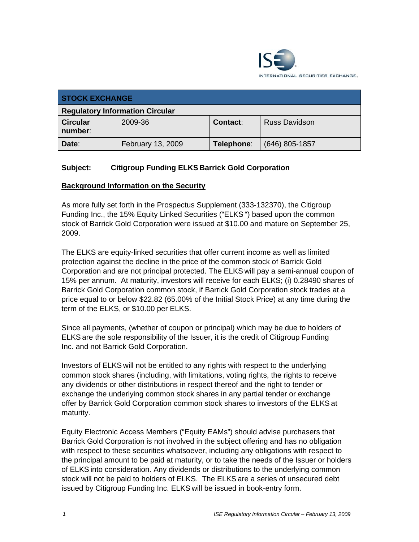

| <b>STOCK EXCHANGE</b>                  |                   |                 |                      |
|----------------------------------------|-------------------|-----------------|----------------------|
| <b>Regulatory Information Circular</b> |                   |                 |                      |
| <b>Circular</b><br>number:             | 2009-36           | <b>Contact:</b> | <b>Russ Davidson</b> |
| Date:                                  | February 13, 2009 | Telephone:      | $(646)$ 805-1857     |

## **Subject: Citigroup Funding ELKS Barrick Gold Corporation**

#### **Background Information on the Security**

As more fully set forth in the Prospectus Supplement (333-132370), the Citigroup Funding Inc., the 15% Equity Linked Securities ("ELKS ") based upon the common stock of Barrick Gold Corporation were issued at \$10.00 and mature on September 25, 2009.

The ELKS are equity-linked securities that offer current income as well as limited protection against the decline in the price of the common stock of Barrick Gold Corporation and are not principal protected. The ELKS will pay a semi-annual coupon of 15% per annum. At maturity, investors will receive for each ELKS; (i) 0.28490 shares of Barrick Gold Corporation common stock, if Barrick Gold Corporation stock trades at a price equal to or below \$22.82 (65.00% of the Initial Stock Price) at any time during the term of the ELKS, or \$10.00 per ELKS.

Since all payments, (whether of coupon or principal) which may be due to holders of ELKS are the sole responsibility of the Issuer, it is the credit of Citigroup Funding Inc. and not Barrick Gold Corporation.

Investors of ELKS will not be entitled to any rights with respect to the underlying common stock shares (including, with limitations, voting rights, the rights to receive any dividends or other distributions in respect thereof and the right to tender or exchange the underlying common stock shares in any partial tender or exchange offer by Barrick Gold Corporation common stock shares to investors of the ELKS at maturity.

Equity Electronic Access Members ("Equity EAMs") should advise purchasers that Barrick Gold Corporation is not involved in the subject offering and has no obligation with respect to these securities whatsoever, including any obligations with respect to the principal amount to be paid at maturity, or to take the needs of the Issuer or holders of ELKS into consideration. Any dividends or distributions to the underlying common stock will not be paid to holders of ELKS. The ELKS are a series of unsecured debt issued by Citigroup Funding Inc. ELKS will be issued in book-entry form.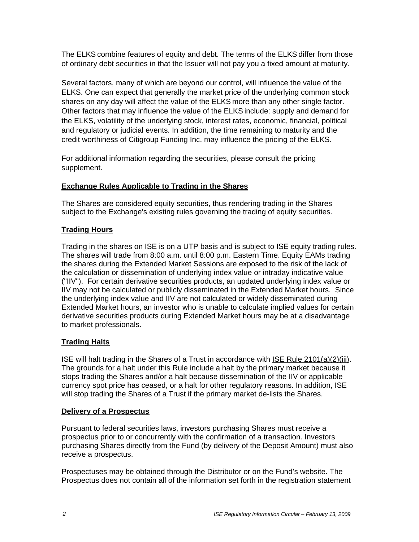The ELKS combine features of equity and debt. The terms of the ELKS differ from those of ordinary debt securities in that the Issuer will not pay you a fixed amount at maturity.

Several factors, many of which are beyond our control, will influence the value of the ELKS. One can expect that generally the market price of the underlying common stock shares on any day will affect the value of the ELKS more than any other single factor. Other factors that may influence the value of the ELKS include: supply and demand for the ELKS, volatility of the underlying stock, interest rates, economic, financial, political and regulatory or judicial events. In addition, the time remaining to maturity and the credit worthiness of Citigroup Funding Inc. may influence the pricing of the ELKS.

For additional information regarding the securities, please consult the pricing supplement.

## **Exchange Rules Applicable to Trading in the Shares**

The Shares are considered equity securities, thus rendering trading in the Shares subject to the Exchange's existing rules governing the trading of equity securities.

### **Trading Hours**

Trading in the shares on ISE is on a UTP basis and is subject to ISE equity trading rules. The shares will trade from 8:00 a.m. until 8:00 p.m. Eastern Time. Equity EAMs trading the shares during the Extended Market Sessions are exposed to the risk of the lack of the calculation or dissemination of underlying index value or intraday indicative value ("IIV"). For certain derivative securities products, an updated underlying index value or IIV may not be calculated or publicly disseminated in the Extended Market hours. Since the underlying index value and IIV are not calculated or widely disseminated during Extended Market hours, an investor who is unable to calculate implied values for certain derivative securities products during Extended Market hours may be at a disadvantage to market professionals.

#### **Trading Halts**

ISE will halt trading in the Shares of a Trust in accordance with ISE Rule 2101(a)(2)(iii). The grounds for a halt under this Rule include a halt by the primary market because it stops trading the Shares and/or a halt because dissemination of the IIV or applicable currency spot price has ceased, or a halt for other regulatory reasons. In addition, ISE will stop trading the Shares of a Trust if the primary market de-lists the Shares.

#### **Delivery of a Prospectus**

Pursuant to federal securities laws, investors purchasing Shares must receive a prospectus prior to or concurrently with the confirmation of a transaction. Investors purchasing Shares directly from the Fund (by delivery of the Deposit Amount) must also receive a prospectus.

Prospectuses may be obtained through the Distributor or on the Fund's website. The Prospectus does not contain all of the information set forth in the registration statement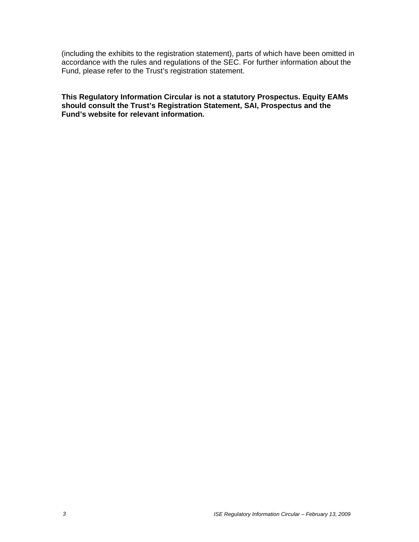(including the exhibits to the registration statement), parts of which have been omitted in accordance with the rules and regulations of the SEC. For further information about the Fund, please refer to the Trust's registration statement.

**This Regulatory Information Circular is not a statutory Prospectus. Equity EAMs should consult the Trust's Registration Statement, SAI, Prospectus and the Fund's website for relevant information.**